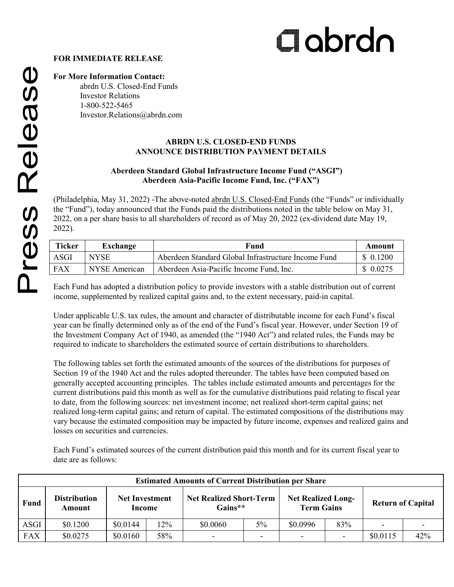# **A**abrdn

## **FOR IMMEDIATE RELEASE**

#### **For More Information Contact:**

abrdn U.S. Closed-End Funds Investor Relations 1-800-522-5465 Investor.Relations@abrdn.com

#### **ABRDN U.S. CLOSED-END FUNDS ANNOUNCE DISTRIBUTION PAYMENT DETAILS**

## **Aberdeen Standard Global Infrastructure Income Fund ("ASGI") Aberdeen Asia-Pacific Income Fund, Inc. ("FAX")**

(Philadelphia, May 31, 2022) -The above-noted [abrdn U.S. Closed-End Funds](https://www.aberdeenstandard.com/en-us/cefinvestorcenter/fund-centre/closed-end-funds) (the "Funds" or individually the "Fund"), today announced that the Funds paid the distributions noted in the table below on May 31, 2022, on a per share basis to all shareholders of record as of May 20, 2022 (ex-dividend date May 19, 2022).

| <b>Ticker</b> | Exchange      | Fund                                                | Amount   |
|---------------|---------------|-----------------------------------------------------|----------|
| ASGI          | <b>NYSE</b>   | Aberdeen Standard Global Infrastructure Income Fund | \$0.1200 |
| FAX           | NYSE American | Aberdeen Asia-Pacific Income Fund, Inc.             | \$0.0275 |

Each Fund has adopted a distribution policy to provide investors with a stable distribution out of current income, supplemented by realized capital gains and, to the extent necessary, paid-in capital.

Under applicable U.S. tax rules, the amount and character of distributable income for each Fund's fiscal year can be finally determined only as of the end of the Fund's fiscal year. However, under Section 19 of the Investment Company Act of 1940, as amended (the "1940 Act") and related rules, the Funds may be required to indicate to shareholders the estimated source of certain distributions to shareholders.

The following tables set forth the estimated amounts of the sources of the distributions for purposes of Section 19 of the 1940 Act and the rules adopted thereunder. The tables have been computed based on generally accepted accounting principles. The tables include estimated amounts and percentages for the current distributions paid this month as well as for the cumulative distributions paid relating to fiscal year to date, from the following sources: net investment income; net realized short-term capital gains; net realized long-term capital gains; and return of capital. The estimated compositions of the distributions may vary because the estimated composition may be impacted by future income, expenses and realized gains and losses on securities and currencies.

Each Fund's estimated sources of the current distribution paid this month and for its current fiscal year to date are as follows:

| <b>Estimated Amounts of Current Distribution per Share</b> |                               |                                 |     |                                              |                          |                                                |     |                          |     |
|------------------------------------------------------------|-------------------------------|---------------------------------|-----|----------------------------------------------|--------------------------|------------------------------------------------|-----|--------------------------|-----|
| Fund                                                       | <b>Distribution</b><br>Amount | <b>Net Investment</b><br>Income |     | <b>Net Realized Short-Term</b><br>Gains $**$ |                          | <b>Net Realized Long-</b><br><b>Term Gains</b> |     | <b>Return of Capital</b> |     |
| ASGI                                                       | \$0.1200                      | \$0.0144                        | 12% | \$0.0060                                     | $5\%$                    | \$0.0996                                       | 83% |                          |     |
| <b>FAX</b>                                                 | \$0.0275                      | \$0.0160                        | 58% |                                              | $\overline{\phantom{0}}$ |                                                |     | \$0.0115                 | 42% |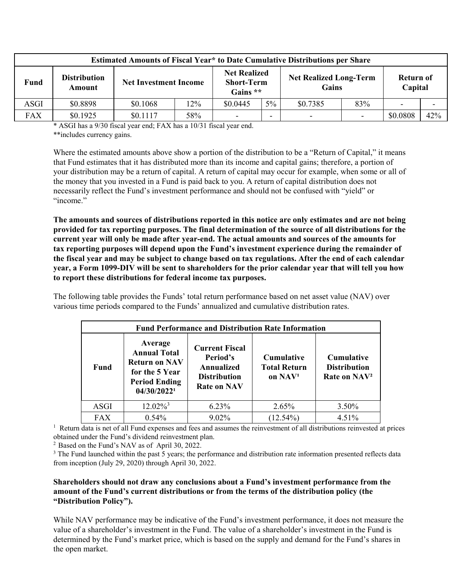| Estimated Amounts of Fiscal Year* to Date Cumulative Distributions per Share |                                      |                              |     |                                                        |       |                                        |                          |                             |     |
|------------------------------------------------------------------------------|--------------------------------------|------------------------------|-----|--------------------------------------------------------|-------|----------------------------------------|--------------------------|-----------------------------|-----|
| Fund                                                                         | <b>Distribution</b><br><b>Amount</b> | <b>Net Investment Income</b> |     | <b>Net Realized</b><br><b>Short-Term</b><br>Gains $**$ |       | <b>Net Realized Long-Term</b><br>Gains |                          | <b>Return of</b><br>Capital |     |
| ASGI                                                                         | \$0.8898                             | \$0.1068                     | 12% | \$0.0445                                               | $5\%$ | \$0.7385                               | 83%                      |                             |     |
| <b>FAX</b>                                                                   | \$0.1925                             | \$0.1117                     | 58% | $\overline{\phantom{0}}$                               | -     | $\overline{\phantom{0}}$               | $\overline{\phantom{0}}$ | \$0.0808                    | 42% |

\* ASGI has a 9/30 fiscal year end; FAX has a 10/31 fiscal year end.

\*\*includes currency gains.

Where the estimated amounts above show a portion of the distribution to be a "Return of Capital," it means that Fund estimates that it has distributed more than its income and capital gains; therefore, a portion of your distribution may be a return of capital. A return of capital may occur for example, when some or all of the money that you invested in a Fund is paid back to you. A return of capital distribution does not necessarily reflect the Fund's investment performance and should not be confused with "yield" or "income."

**The amounts and sources of distributions reported in this notice are only estimates and are not being provided for tax reporting purposes. The final determination of the source of all distributions for the current year will only be made after year-end. The actual amounts and sources of the amounts for tax reporting purposes will depend upon the Fund's investment experience during the remainder of the fiscal year and may be subject to change based on tax regulations. After the end of each calendar year, a Form 1099-DIV will be sent to shareholders for the prior calendar year that will tell you how to report these distributions for federal income tax purposes.**

The following table provides the Funds' total return performance based on net asset value (NAV) over various time periods compared to the Funds' annualized and cumulative distribution rates.

| <b>Fund Performance and Distribution Rate Information</b>                                                               |                        |                                                                                              |                                                                 |                                                                      |  |  |  |
|-------------------------------------------------------------------------------------------------------------------------|------------------------|----------------------------------------------------------------------------------------------|-----------------------------------------------------------------|----------------------------------------------------------------------|--|--|--|
| Average<br><b>Annual Total</b><br><b>Return on NAV</b><br>Fund<br>for the 5 Year<br><b>Period Ending</b><br>04/30/20221 |                        | <b>Current Fiscal</b><br>Period's<br>Annualized<br><b>Distribution</b><br><b>Rate on NAV</b> | <b>Cumulative</b><br><b>Total Return</b><br>on NAV <sup>1</sup> | <b>Cumulative</b><br><b>Distribution</b><br>Rate on NAV <sup>2</sup> |  |  |  |
| ASGI                                                                                                                    | $12.02\%$ <sup>3</sup> | 6.23%                                                                                        | 2.65%                                                           | $3.50\%$                                                             |  |  |  |
| <b>FAX</b>                                                                                                              | 0.54%                  | $9.02\%$                                                                                     | $(12.54\%)$                                                     | 4.51%                                                                |  |  |  |

<sup>1</sup> Return data is net of all Fund expenses and fees and assumes the reinvestment of all distributions reinvested at prices obtained under the Fund's dividend reinvestment plan.

2 Based on the Fund's NAV as of April 30, 2022.

<sup>3</sup> The Fund launched within the past 5 years; the performance and distribution rate information presented reflects data from inception (July 29, 2020) through April 30, 2022.

### **Shareholders should not draw any conclusions about a Fund's investment performance from the amount of the Fund's current distributions or from the terms of the distribution policy (the "Distribution Policy").**

While NAV performance may be indicative of the Fund's investment performance, it does not measure the value of a shareholder's investment in the Fund. The value of a shareholder's investment in the Fund is determined by the Fund's market price, which is based on the supply and demand for the Fund's shares in the open market.